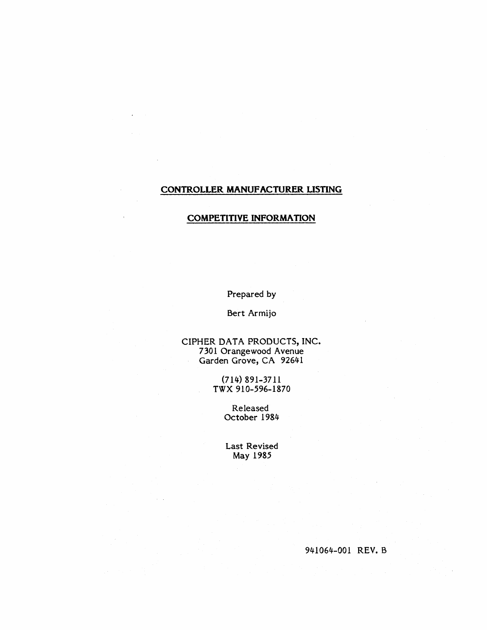# **CONTROLLER MANUFACTURER LISTING**

#### **COMPETITIVE INFORMATION**

Prepared by

Bert Armijo

CIPHER DATA PRODUCTS, INC. 7301 Orangewood Avenue Garden Grove, CA 92641

> (714) 891-3711 TWX *910-596-1870*

> > Released October 1984

Last Revised May 1985

*941064-001* REV. B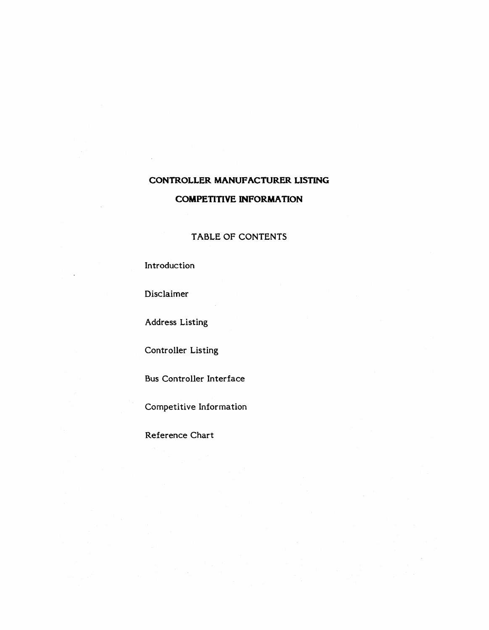# **CONTROLLER MANUFACTURER LISTING COMPETITIVE INFORMATION**

# TABLE OF CONTENTS

Introduction

Disclaimer

Address Listing

Controller Listing

Bus Controller Interface

Competitive Information

Reference Chart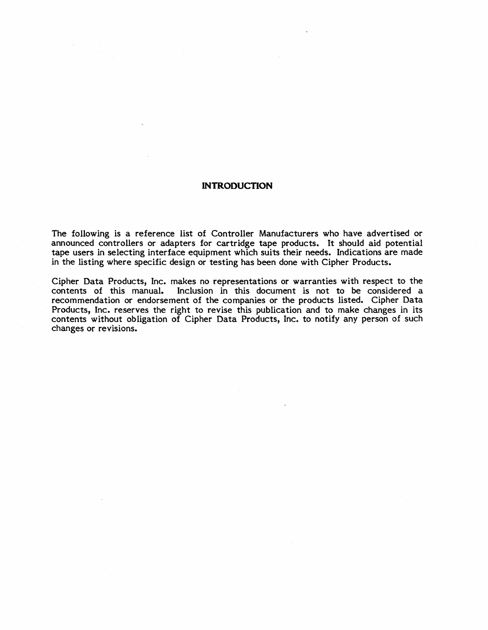#### **INTRODUCTION**

The following is a reference list of Controller Manufacturers who have advertised or announced controllers or adapters for cartridge tape products. It should aid potential tape users in selecting interface equipment which suits their needs. Indications are made in the listing where specific design or testing has been done with Cipher Products.

Cipher Data Products, Inc. makes no representations or warranties with respect to the Inclusion in this document is not to be considered a recommendation or endorsement of the companies or the products listed. Cipher Data Products, Inc. reserves the right to revise this publication and to make changes in its contents without obligation of Cipher Data Products, Inc. to notify any person of such changes or revisions.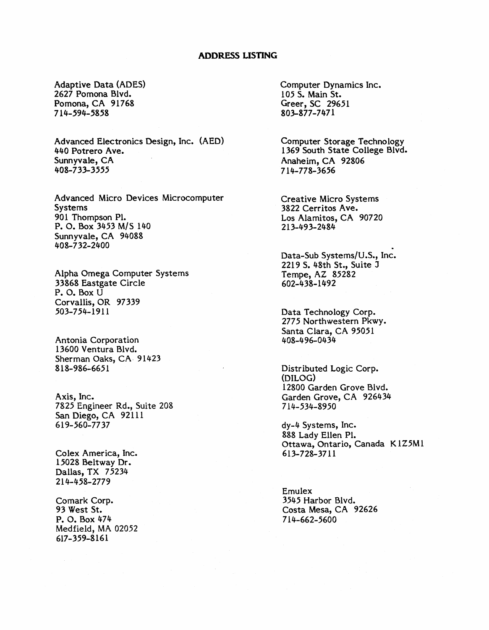### **ADDRESS LISTING**

Adaptive Data (ADES) 2627 Pomona Blvd. Pomona, CA 91768 714-594-5858

Advanced Electronics Design, Inc. (AED) 440 Potrero Ave. Sunnyvale, CA 408-733-3555

Advanced Micro Devices Microcomputer Systems 901 Thompson Pl. P. O. Box 3453 M/S 140 Sunnyvale, CA 94088 408-732-2400

Alpha Omega Computer Systems 33868 Eastgate Circle P. O. Box U Corvallis, OR 97339 503-754-1911

Antonia Corporation 13600 Ventura Blvd. Sherman Oaks, CA, 91423 818-986-6651

Axis, Inc. 7825 Engineer Rd., Suite 208 San Diego, CA 92111 619-560-7737

Colex America, Inc. 15028 Beltway Dr. Dallas, TX 75234 214-458-2779

Comark Corp. 93 West St. P. O. Box 474 Medfield, MA 02052 617-359-8161

Computer Dynamics Inc. 105 S. Main St. Greer, SC 29651 803-877-7471

Computer Storage Technology 1369 South State College Blvd. Anaheim, CA 92806 714-778-3656

Creative Micro Systems 3822 Cerritos Ave. Los Alamitos, CA 90720 213-493-2484

Data-Sub Systems/U.S., Inc. 2219 S. 48th St., Suite J Tempe, AZ 85282 602-438-1492

Data Technology Corp. 2775 Northwestern Pkwy. Santa Clara, CA 95051 408-496-0434

Distributed Logic Corp. (DILOG) 12800 Garden Grove Blvd. Garden Grove, CA 926434 714-534-8950

dy-4 Systems, Inc. 888 Lady Ellen Pl. Ottawa, Ontario, Canada K1Z5M1 613-728-3711

Emulex 3545 Harbor Blvd. Costa Mesa, CA 92626 714-662-5600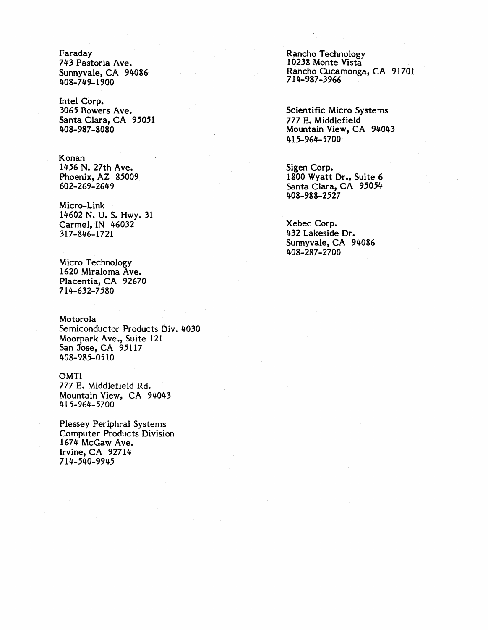Faraday 743 Pastoria Ave. Sunnyvale, CA 94086 408-749-1900

Intel Corp. 3065 Bowers Ave. Santa Clara, CA 95051 408-987-8080

Konan 1456 N. 27th Ave. Phoenix, AZ 85009 602-269-2649

Micro-Link 14602 N. U. S. Hwy. 31 Carmel, IN 46032 317-846-1721

Micro Technology 1620 Miraloma Ave. Placentia, CA 92670 714-632-7580

Motorola Semiconductor Products Div. 4030 Moorpark Ave., Suite 121 San Jose, CA 95117 *408-985-0510* 

OMTI 777 E. Middlefield Rd. Mountain View, CA 94043

*415-964-5700* 

Plessey Per iphral Systems Computer Products Division 1674 McGaw Ave. Irvine, CA 92714 714-540-9945

Rancho Technology 10238 Monte Vista Rancho Cucamonga, CA 91701 714-987-3966

Scientific Micro Systems 777 E. Middlefield Mountain View, CA 94043 415-964-5700

Sigen Corp. 1800 Wyatt Dr., Suite 6 Santa Clara, CA 95054 408-988-2527

Xebec Corp. 432 Lakeside Dr. Sunnyvale, CA 94086 408-287-2700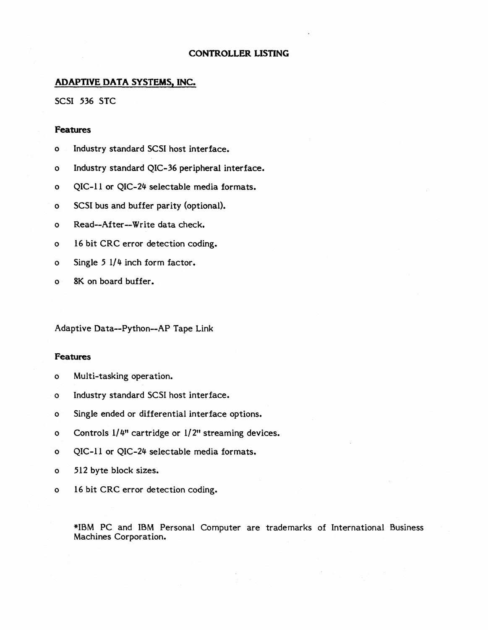# **ADAPTIVE DATA SYSTEMS, INC.**

SCSI 536 STC

#### **Features**

- o Industry standard SCSI host interface.
- o Industry standard QIC-36 peripheral interface.
- o QIC-ll or QIC-24 selectable media formats.
- o SCSI bus and buffer parity (optional).
- o Read--After--Write data check.
- o 16 bit CRC error detection coding.
- o Single  $5 \frac{1}{4}$  inch form factor.
- o 8K on board buffer.

Adaptive Data--Python--AP Tape Link

#### **Features**

- o Multi-tasking operation.
- o Industry standard SCSI host interface.
- o Single ended or differential interface options.
- o Controls 1/4" cartridge or 1/2" streaming devices.
- o QIC-ll or QIC-24 selectable media formats.
- o 512 byte block sizes.
- o 16 bit CRC error detection coding.

\*IBM PC and IBM Personal Computer are trademarks of International Business Machines Corporation.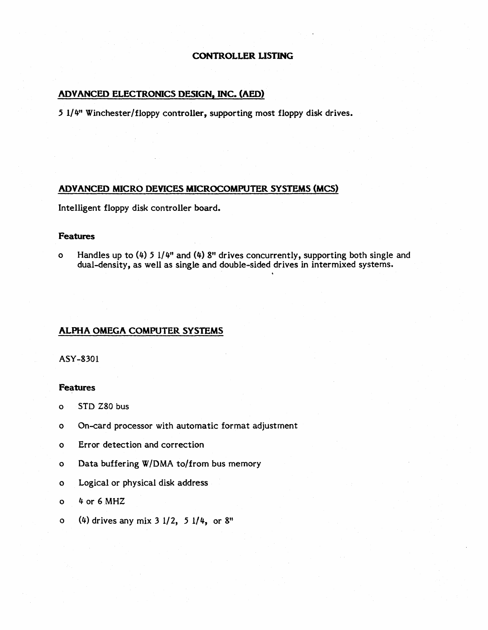# ADVANCED ELECTRONICS DESIGN, INC. (AED)

5 1/4" Winchester/floppy controller, supporting most floppy disk drives.

#### ADVANCED MICRO DEVICES MICROCOMPUTER SYSTEMS (MCS)

Intelligent floppy disk controller board.

#### **Features**

o Handles up to (4) 5  $1/4$ " and (4) 8" drives concurrently, supporting both single and dual-density, as well as single and double-sided drives in intermixed systems.

#### ALPHA OMEGA COMPUTER SYSTEMS

ASY-8301

- o STD Z80 bus
- o On-card processor with automatic format adjustment
- o Error detection and correction
- o Data buffering W/DMA to/from bus memory
- o Logical or physical disk address
- o 4 or 6MHZ
- o (4) drives any mix 3 1/2, 5 1/4, or 8"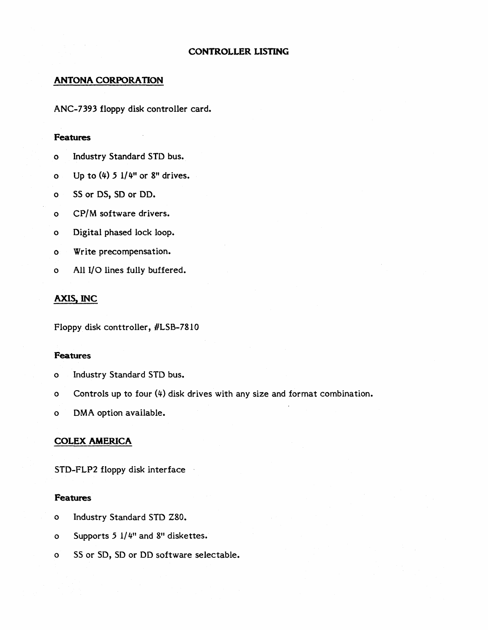# **ANTONA CORPORATION**

ANC-7393 floppy disk controller card.

#### **Features**

- 0 Industry Standard STD bus.
- o Up to  $(4)$  5  $1/4$ " or 8" drives.
- 0 SS or DS, SD or DD.
- 0 CP/M software drivers.
- 0 Digital phased lock loop.
- 0 Write precompensation.
- 0 All I/O lines fully buffered.

### **AXIS, INC**

Floppy disk conttroller, #LSB-7810

### **Features**

- o Industry Standard STD bus.
- o Controls up to four (4) disk drives with any size and format combination.
- o DMA option available.

#### **COLEX AMERICA**

STO-FLP2 floppy disk interface

- o Industry Standard STO Z80.
- o Supports 5 1/4" and 8" diskettes.
- o SS or SO, SD or DD software selectable.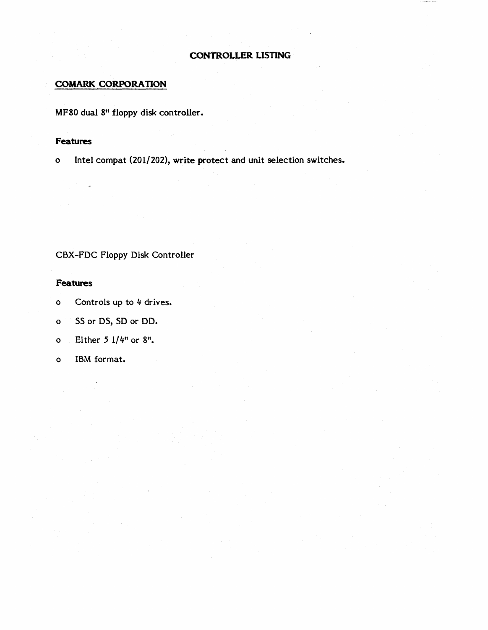### **COMARK CORPORATION**

MF80 dual 8" floppy disk controller.

# **Features**

o Intel compat (201/202), write protect and unit selection switches.

# CBX-FDC Floppy Disk Controller

- o Controls up to 4 drives.
- o SS or OS, SO or DO.
- o Either 5 1/4" or 8".
- o IBM format.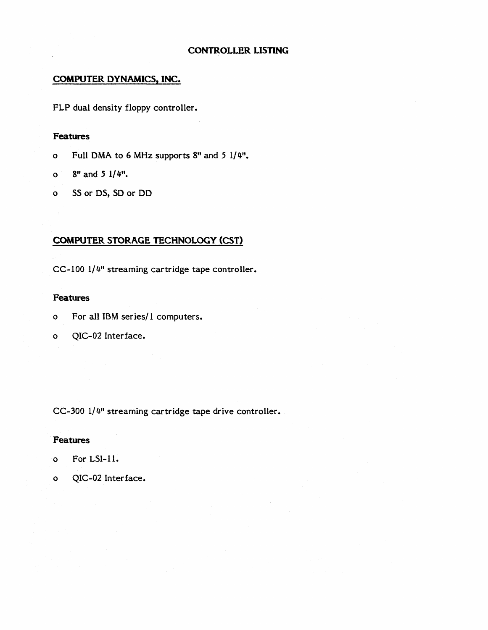# COMPUTER DYNAMICS, INC.

FLP dual density floppy controller.

# Features

- o Full OMA to 6 MHz supports 8" and 5 1/4".
- o  $8"$  and  $5 \frac{1}{4}$ .
- o SS or DS, SD or DD

# COMPUTER STORAGE TECHNOLOGY (CST)

CC-IOO 1/4" streaming cartridge tape controller.

# Features

- o For all IBM series/I computers.
- o QIC-02 Interface.

CC-300 1/4" streaming cartridge tape drive controller.

- o For LSI-I!.
- o QIC-02 Interface.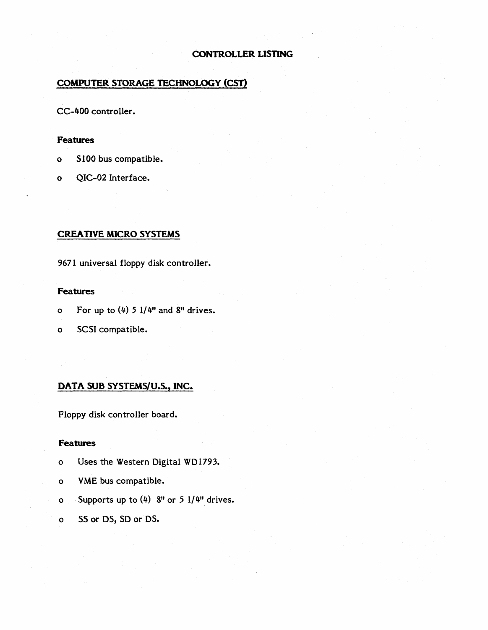# COMPUTER STORAGE TECHNOLOGY (CST)

CC-400 controller.

#### **Features**

- o S100 bus compatible.
- o QIC-02 Interface.

# CREATIVE MICRO SYSTEMS

9671 universal floppy disk controller.

# **Features**

- o For up to  $(4)$  5  $1/4$ " and 8" drives.
- o SCSI compatible.

# DATA SUB SYSTEMS/U.S., INC.

Floppy disk controller board.

- o Uses the Western Digital WD1793.
- o VME bus compatible.
- o Supports up to (4) 8" or 5 1/4" drives.
- o SS or DS, SD or DS.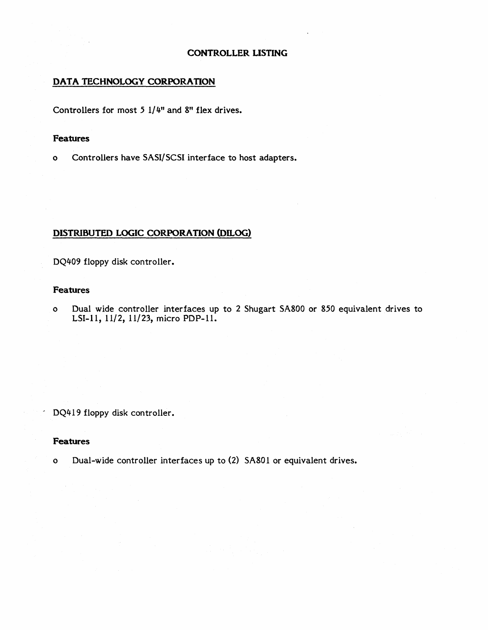### **DATA TECHNOLOGY CORPORATION**

Controllers for most 5 1/4" and 8" flex drives.

#### **Features**

o Controllers have SASI/SCSI interface to host adapters.

# **DISTRIBUTED LOGIC CORPORATION (DILOG)**

DQ409 floppy disk controller.

### **Features**

o Dual wide controller interfaces up to 2 Shugart SA800 or 850 equivalent drives to LSI-11, 11/2, 11/23, micro PDP-11.

DQ419 floppy disk controller.

#### **Features**

o Dual-wide controller interfaces up to (2) SA801 or equivalent drives.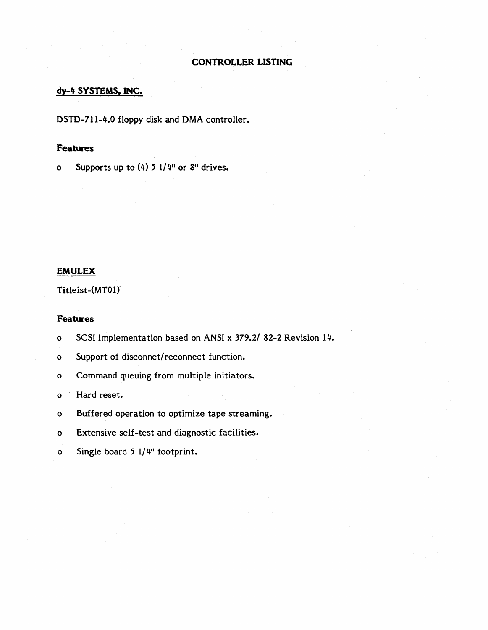# dy-4 SYSTEMS, INC.

DSTD-711-4.0 floppy disk and DMA controller.

### **Features**

o Supports up to  $(4)$  5  $1/4$ " or 8" drives.

#### EMULEX

Titleist-(MTOl}

#### Features

o SCSI implementation based on ANSI x 379.2/ 82-2 Revision 14.

o Support of disconnet/ reconnect function.

o Command queuing from multiple initiators.

o Hard reset.

- o Buffered operation to optimize tape streaming.
- o Extensive self-test and diagnostic facilities.
- o Single board 5 1/4" footprint.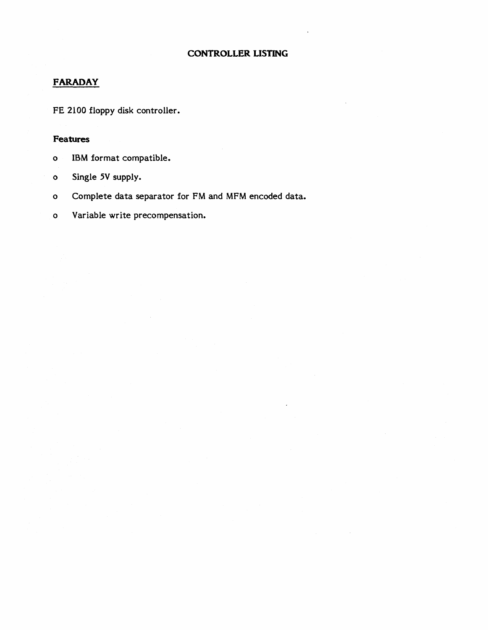# FARADAY

FE 2100 floppy disk controller.

- o IBM format compatible.
- o Single 5V supply.
- o Complete data separator for FM and MFM encoded data.
- o Variable write precompensation.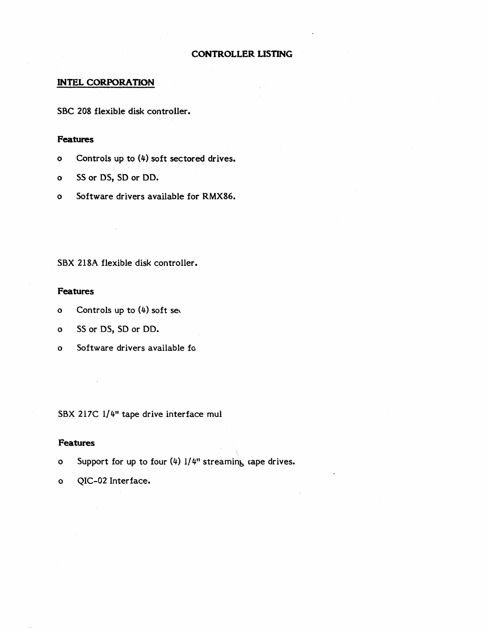### **INTEL CORPORATION**

SBC 208 flexible disk controller.

# **Features**

- o Controls up to (4) soft sectored drives.
- o SS or DS, SD or DD.
- o Software drivers available for RMX86.

SBX 218A flexible disk controller.

### **Features**

- o Controls up to (4) soft se,
- o SS or DS, SD or DD.
- o Software drivers available fo

SBX 217C 1/4" tape drive interface mul

- o Support for up to four  $(4)$  1/4" streaming cape drives.
- o QIC-02 Interface.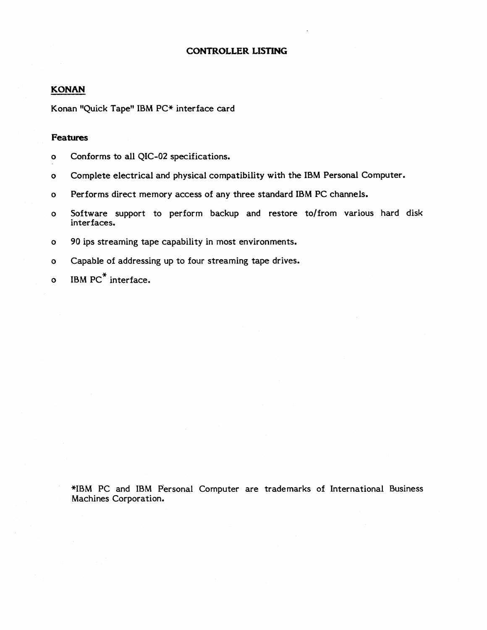# **KONAN**

Konan "Quick Tape" IBM PC\* interface card

# **Features**

- o Conforms to all QIC-02 specifications.
- o Complete electrical and physical compatibility with the IBM Personal Computer.
- o Performs direct memory access of any three standard IBM PC channels.
- o Software support to perform backup and restore to/from various hard disk interfaces.
- o 90 ips streaming tape capability in most environments.
- o Capable of addressing up to four streaming tape drives.
- o IBM PC<sup>\*</sup> interface.

\*IBM PC and IBM Personal Computer are trademarks of International Business Machines Corporation.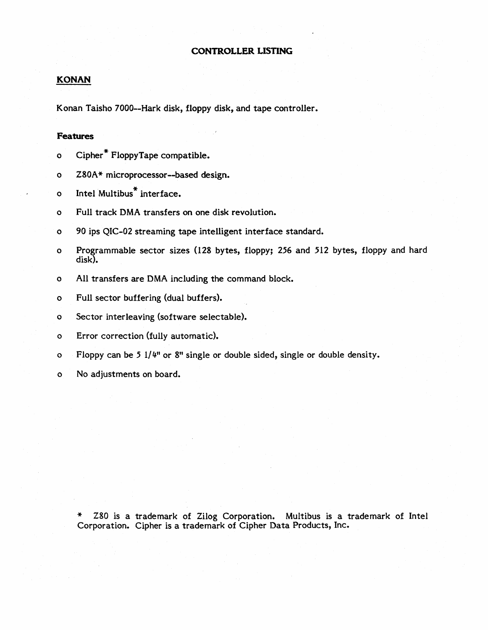# **KONAN**

Konan Taisho 7000--Hark disk, floppy disk, and tape controller.

#### **Features**

- o Cipher\* FloppyTape compatible.
- o Z80A\* microprocessor--based design.
- o Intel Multibus<sup>\*</sup> interface.
- o Full track DMA transfers on one disk revolution.
- o 90 ips QIC-02 streaming tape intelligent interface standard.
- o Programmable sector sizes (I28 bytes, floppy; 256 and 512 bytes, floppy and hard disk).
- o All transfers are DMA including the command block.
- o Full sector buffering (dual buffers).
- o Sector interleaving (software selectable).
- o Error correction (fully automatic).
- o Floppy can be 5 1/4" or 8" single or double sided, single or double density.
- o No adjustments on board.

Z80 is a trademark of Zilog Corporation. Multibus is a trademark of Intel Corporation. Cipher is a trademark of Cipher Data Products, Inc.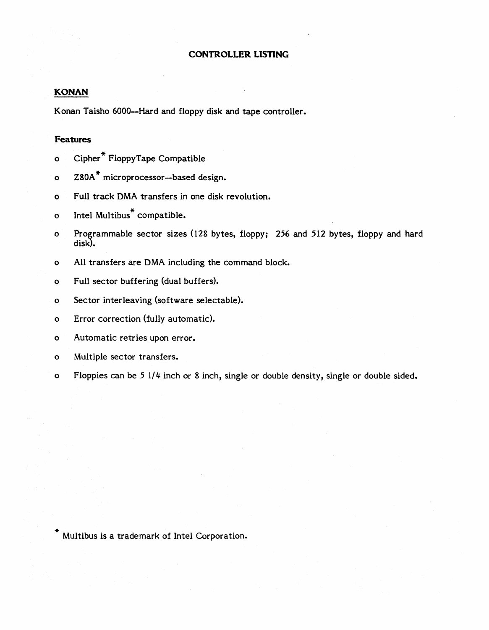#### **KONAN**

Konan Taisho 6000--Hard and floppy disk and tape controller.

#### **Features**

- o Cipher \* FloppyTape Compatible
- o Z80A<sup>\*</sup> microprocessor--based design.
- o Full track DMA transfers in one disk revolution.
- o Intel Multibus<sup>\*</sup> compatible.
- o Programmable sector sizes (128 bytes, floppy; 256 and 512 bytes, floppy and hard disk).
- o All transfers are DMA including the command block.
- o Full sector buffering (dual buffers).
- o Sector interleaving (software selectable).
- o Error correction (fully automatic).
- o Automatic retries upon error.
- o Multiple sector transfers.
- o Floppies can be 5 1/4 inch or 8 inch, single or double density, single or double sided.

\* Multibus is a trademark of Intel Corporation.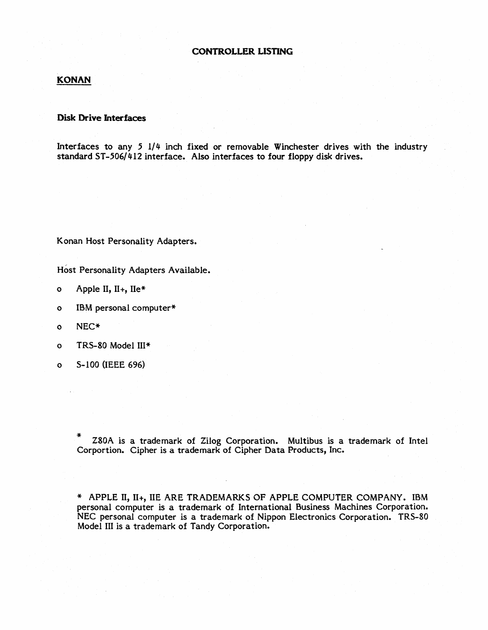### **KONAN**

#### **Disk Drive Interfaces**

Interfaces to any  $5 \frac{1}{4}$  inch fixed or removable Winchester drives with the industry standard ST-506/412 interface. Also interfaces to four floppy disk drives.

Konan Host Personality Adapters.

Host Personality Adapters Available.

- o Apple II,  $II_+, IIe^*$
- o IBM personal computer\*
- o NEC\*
- o TRS-80 Model III\*
- o S-100 (IEEE 696)

Z80A is a trademark of Zilog Corporation. Multibus is a trademark of Intel Corportion. Cipher is a trademark of Cipher Data Products, Inc.

\* APPLE II, II+, lIE ARE TRADEMARKS OF APPLE COMPUTER COMPANY. IBM personal computer is a trademark of International Business Machines Corporation. NEC personal computer is a trademark of Nippon Electronics Corporation. TRS-80 Model III is a trademark of Tandy Corporation.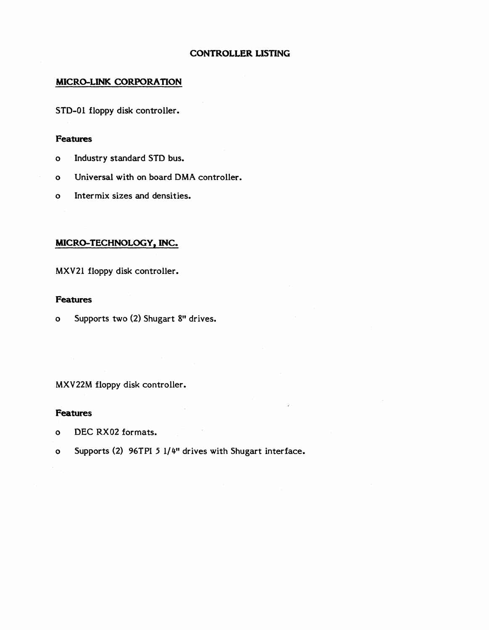### **MICRO-LINK CORPORATION**

STD-01 floppy disk controller.

#### **Features**

- o Industry standard STD bus.
- o Universal with on board DMA controller.
- o Inter mix sizes and densities.

# **MICRO-TECHNOLOGY, INC.**

MXV21 floppy disk controller.

### **Features**

o Supports two (2) Shugart 8" drives.

MXV22M floppy disk controller.

- o DEC RX02 formats.
- o Supports (2) 96TPI 5 1/4" drives with Shugart interface.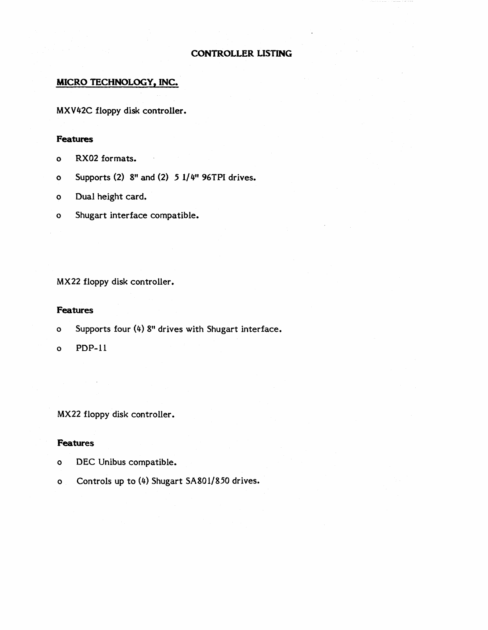# **MICRO TECHNOLOGY, INC.**

MXV 42C floppy disk controller.

# **Features**

- o RX02 formats.
- o Supports (2)  $8<sup>n</sup>$  and (2)  $5 \frac{1}{4^n}$  96TPI drives.
- o Dual height card.
- o Shugart interface compatible.

MX22 floppy disk controller.

#### **Features**

- o Supports four (4) 8" drives with Shugart interface.
- o PDP-II

MX22 floppy disk controller.

- o DEC Unibus compatible.
- o Controls up to (4) Shugart SA80I/850 drives.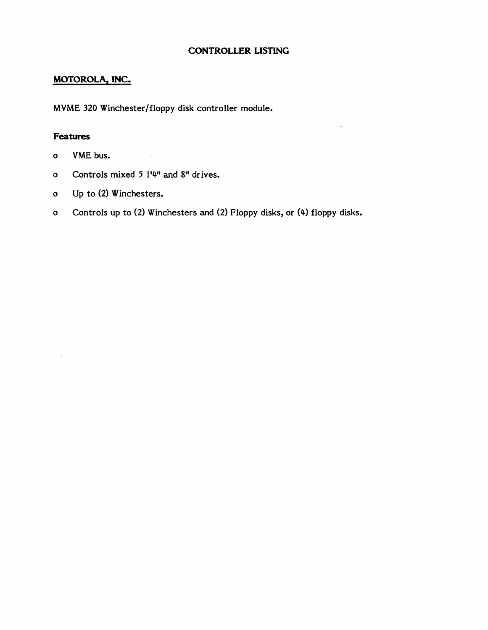# **MOTOROLA, INC.**

MVME 320 Winchester/floppy disk controller module.

# **Features**

- o VME bus.
- o Controls mixed 5 1'4" and 8" drives.

 $\mathcal{L}^{\text{max}}_{\text{max}}$  and  $\mathcal{L}^{\text{max}}_{\text{max}}$ 

- o Up to (2) Winchesters.
- o Controls up to (2) Winchesters and (2) Floppy disks, or (4) floppy disks.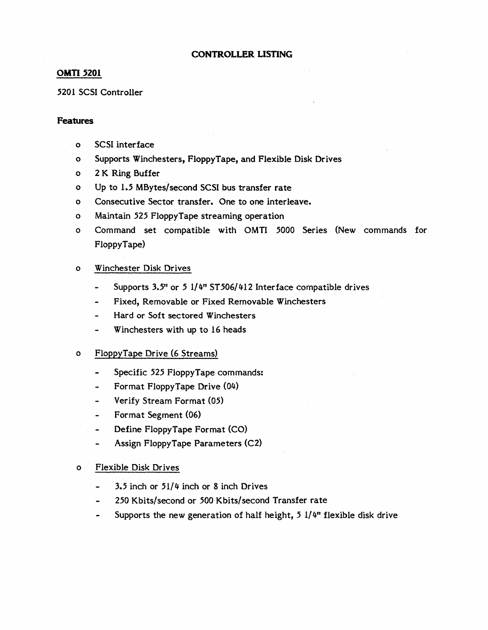#### **OMTI 5201**

#### 5201 SCSI Controller

#### **Features**

- o SCSI interface
- o Supports Winchesters, FloppyTape, and Flexible Disk Drives
- o 2 K Ring Buffer
- o Up to 1.5 MBytes/second SCSI bus transfer rate
- o Consecutive Sector transfer. One to one interleave.
- o Maintain 525 FloppyTape streaming operation
- o Command set compatible with OMTI 5000 Series (New commands for FloppyTape)

#### o Winchester Disk Drives

- Supports 3.5" or 5 1/4" ST 506/412 Interface compatible drives
- Fixed, Removable or Fixed Removable Winchesters
- Hard or Soft sectored Winchesters
- Winchesters with up to 16 heads

#### o FloppyTape Drive (6 Streams)

- Specific 525 FloppyTape commands:
- Format FloppyTape Drive (04)
- Verify Stream Format (05)
- Format Segment (06)
- Define FloppyTape Format (CO)
- Assign FloppyTape Parameters (C2)

#### o Flexible Disk Drives

- 3.5 inch or 51/4 inch or 8 inch Drives
- 250 Kbits/second or 500 Kbits/second Transfer rate  $\rightarrow$
- Supports the new generation of half height, 5 *1/4"* flexible disk drive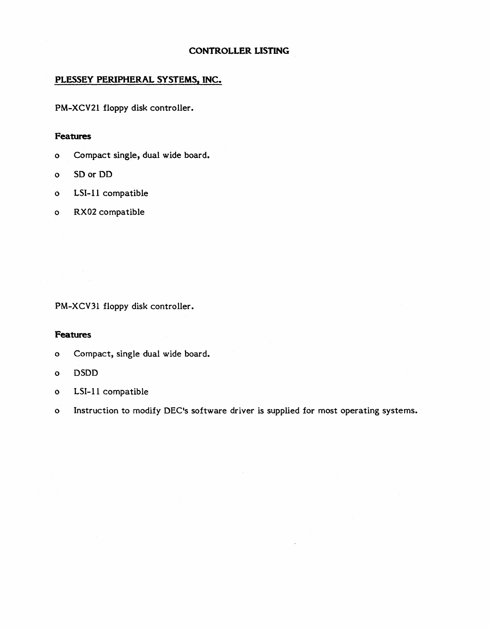# **PLESSEY PERIPHERAL SYSTEMS, INC.**

PM-XCV2i floppy disk controller.

#### **Features**

- o Compact single, dual wide board.
- o SO or DO
- o LSI-ii compatible
- o RX02 compatible

PM-XCV31 floppy disk controller.

- o Compact, single dual wide board.
- o DSDD
- o LSI-11 compatible
- o Instruction to modify DEC's software driver is supplied for most operating systems.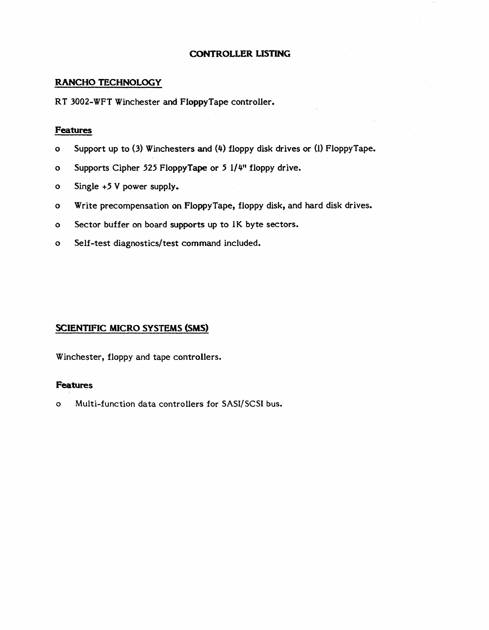# RANCHO TECHNOLOGY

RT 3002-WFT Winchester and FloppyTape controller.

# Features

- o Support up to (3) Winchesters and (4) floppy disk drives or (1) FloppyTape.
- o Supports Cipher 525 FloppyTape or 5 1/4" floppy drive.
- o Single +5 V power supply.
- o Write precompensation on FloppyTape, floppy disk, and hard disk drives.
- o Sector buffer on board supports up to 1K byte sectors.
- o Self-test diagnostics/test command included.

# SCIENTIFIC MICRO SYSTEMS (SMS)

Winchester, floppy and tape controllers.

### Features

o Multi-function data controllers for SASI/SCSI bus.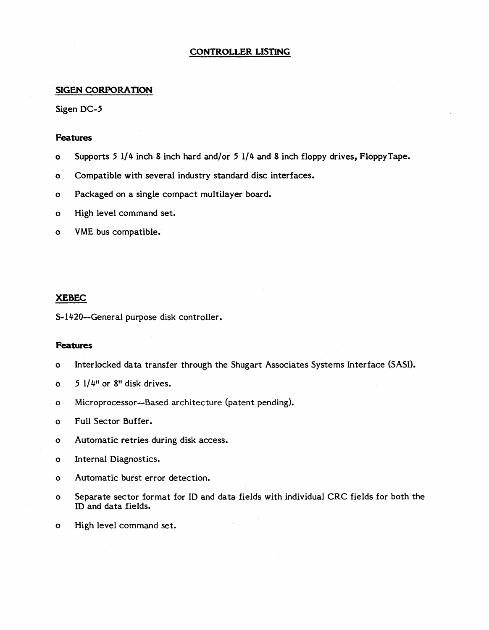#### **SIGEN CORPORATION**

Sigen DC-5

#### **Features**

- o Supports 5 1/4 inch 8 inch hard and/or 5 1/4 and 8 inch floppy drives, FloppyTape.
- o Compatible with several industry standard disc interfaces.
- o Packaged on a single compact multilayer board.
- o High level command set.
- o VME bus compatible.

#### **XEBEC**

S-14 20--Gener al purpose disk controller.

- o Interlocked data transfer through the Shugart Associates Systems Interface (SASI).
- $o$  5 1/4" or 8" disk drives.
- o Microprocessor--Based architecture (patent pending).
- o Full Sector Buffer.
- o Automatic retries during disk access.
- o Internal Diagnostics.
- o Automatic burst error detection.
- o Separate sector format for ID and data fields with individual CRC fields for both the ID and data fields.
- o High level command set.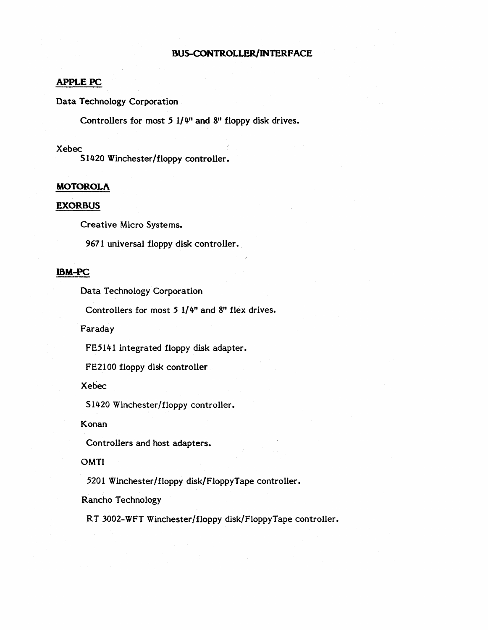# APPLE PC

Data Technology Corporation

Controllers for most 5 *1/4"* and 8" floppy disk drives.

#### Xebec

51420 Winchester/floppy controller.

#### **MOTOROLA**

#### **EXOR8US**

Creative Micro Systems.

9671 universal floppy disk controller.

# **mM-pc**

Data Technology Corporation

Controllers for most 5 1/4" and 8" flex drives.

Faraday

FE5l41 integrated floppy disk adapter.

FE2l00 floppy disk controller

Xebec

51420 Winchester/floppy controller.

Konan

Controllers and host adapters.

OMTI

5201 Winchester/floppy disk/FloppyTape controller.

Rancho Technology

RT 3002-WFT Winchester/floppy disk/FloppyTape controller.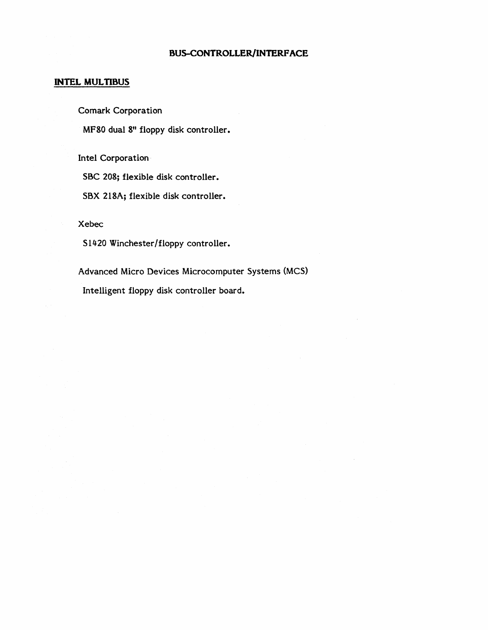# **INTEL MULTIBUS**

Comark Corporation

MF80 dual 8" floppy disk controller.

Intel Corporation·

SBC 208; flexible disk controller.

SBX 218A; flexible disk controller.

Xebec

S1420 Winchester/floppy controller.

Advanced Micro Devices Microcomputer Systems (MCS) Intelligent floppy disk controller board.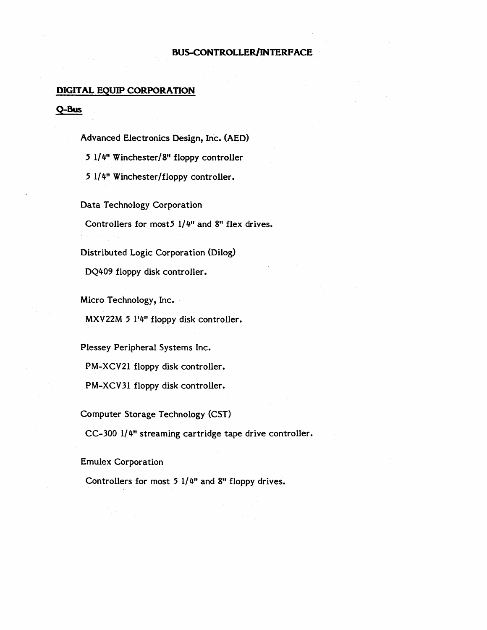#### **DIGITAL EQUIP CORPORATION**

#### **Q-Bus**

Advanced Electronics Design, Inc. (AED) 5 1/4" Winchester/8" floppy controller 5 1/ 4" Winchester/floppy controller.

Data Technology Corporation Controllers for most5 1/4" and 8" flex drives.

Distributed Logic Corporation (Dilog)

DQ409 floppy disk controller.

Micro Technology, Inc.

MXV22M 5 1'4" floppy disk controller.

Plessey Peripheral Systems Inc. PM-XCV21 floppy disk controller. PM-XCV31 floppy disk controller.

Computer Storage Technology (CST)

CC-300 1/4" streaming cartridge tape drive controller.

Emulex Corporation

Controllers for most 5 1/4" and 8" floppy drives.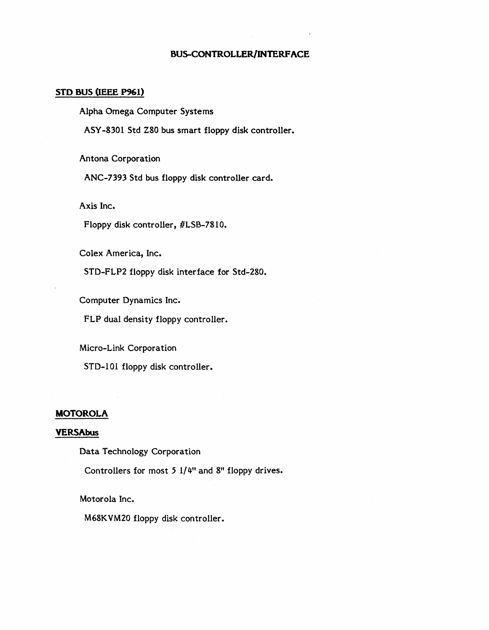#### **STD 8US (IEEE P961)**

Alpha Omega Computer Systems

ASY -8301 Std Z80 bus smart floppy disk controller.

Antona Corporation

ANC-7393 Std bus floppy disk controller card.

Axis Inc.

Floppy disk controller, #LSB-7810.

Colex America, Inc.

STD-FLP2 floppy disk interface for Std-280.

Computer Dynamics Inc.

FLP dual density floppy controller.

Micro-Link Corporation

STD-101 floppy disk controller.

#### **MOTOROLA**

### **VERSAbus**

Data Technology Corporation

Controllers for most 5 1/4" and 8" floppy drives.

Motorola Inc.

M68K VM20 floppy disk controller.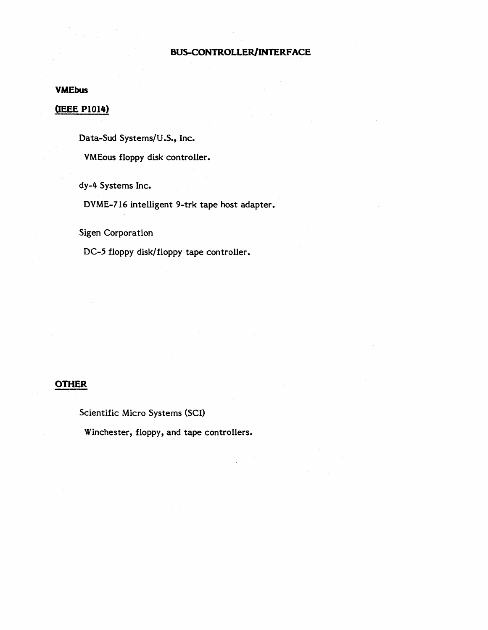#### **VMEbus**

# **QEEE PIOI4)**

Data-Sud Systems/U.S., Inc.

VM Eous floppy disk controller.

dy-4 Systems Inc.

DVME-716 intelligent 9-trk tape host adapter.

Sigen Corporation

DC-5 floppy disk/floppy tape controller.

# **OTHER**

Scientific Micro Systems (SCI)

Winchester, floppy, and tape controllers.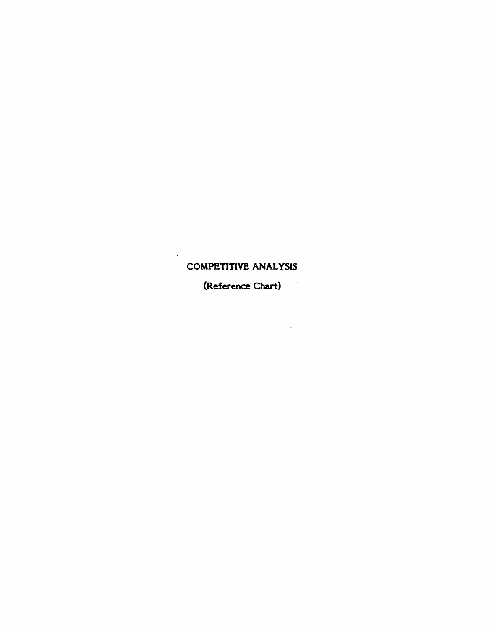# COMPETITIVE ANALYSIS

 $\cdot$ 

(Reference Chart)

 $\sim 10^7$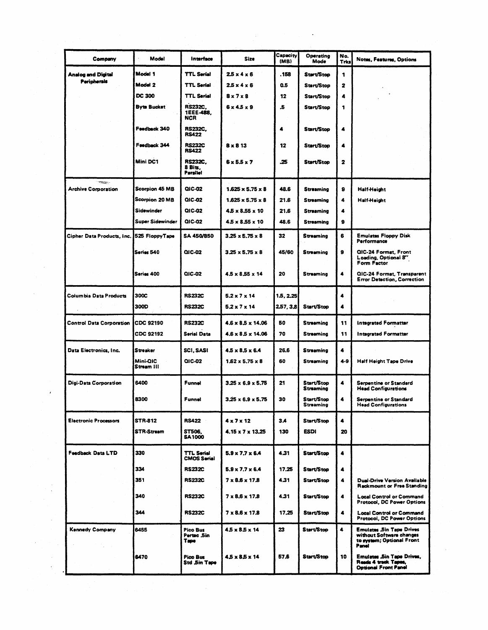| Company                                         | Model                   | Interface                                    | Size                          | (MB)      | Mode                            | Trks                 | <b>Notes, Features, Options</b>                                                                   |
|-------------------------------------------------|-------------------------|----------------------------------------------|-------------------------------|-----------|---------------------------------|----------------------|---------------------------------------------------------------------------------------------------|
| <b>Analog and Digital</b><br><b>Peripherals</b> | Model 1                 | <b>TTL Serial</b>                            | $2.5 \times 4 \times 6$       | . 158     | Start/Stop                      | 1                    |                                                                                                   |
|                                                 | Model 2                 | <b>TTL Serial</b>                            | 25x4x6                        | 0.5       | Start/Stop                      | 2                    |                                                                                                   |
|                                                 | <b>DC 300</b>           | <b>TTL Serial</b>                            | $8 \times 7 \times 8$         | 12        | Start/Stop                      | 4                    |                                                                                                   |
|                                                 | <b>Byte Bucket</b>      | <b>RS232C.</b><br>1EEE-488.<br>NCR           | $6 \times 4.5 \times 9$       | .5        | Start/Stop                      | 1                    |                                                                                                   |
|                                                 | Feedback 340            | <b>RS232C,</b><br><b>RS422</b>               |                               | 4         | Start/Stop                      | 4                    |                                                                                                   |
|                                                 | Feedback 344            | <b>RS232C</b><br><b>RS422</b>                | $8 \times 8$ 13               | 12        | Start/Stop                      | 4                    |                                                                                                   |
|                                                 | Mini DC1                | <b>RS232C.</b><br>8 Bits,<br><b>Parallet</b> | $6 \times 5.5 \times 7$       | .25       | Start/Stop                      | $\mathbf{z}$         |                                                                                                   |
| ويجعلان<br><b>Archive Corporation</b>           | <b>Scorpion 45 MB</b>   | QIC-02                                       | $1.625 \times 5.75 \times 8$  | 48.6      | <b>Streaming</b>                | 9                    | <b>Half-Height</b>                                                                                |
|                                                 | Scorpion 20 MB          | QIC-02                                       | $1.625 \times 5.75 \times 8$  | 21.6      | Streaming                       | 4                    | <b>Half-Height</b>                                                                                |
|                                                 | Sidewinder              | QIC-02                                       | $4.5 \times 8.55 \times 10$   | 21.6      | <b>Streaming</b>                | 4                    |                                                                                                   |
|                                                 | <b>Super Sidewinder</b> | QIC-02                                       | 4.5 x 8.55 x 10               | 48.6      | <b>Streaming</b>                | 9                    |                                                                                                   |
| Cipher Data Products, Inc. 525 FloppyTape       |                         | <b>SA 450/850</b>                            | 3.25 x 5.75 x 8               | 32        | Streaming                       | 6                    | <b>Emulates Floppy Disk</b><br>Performance                                                        |
|                                                 | Series 540              | QIC-02                                       | $3.25 \times 5.75 \times 8$   | 45/60     | Streaming                       | 9                    | QIC-24 Formst, Front<br>Loading, Optional 8"<br><b>Form Factor</b>                                |
|                                                 | Series 400              | QIC-02                                       | 4.5 x 8.55 x 14               | 20        | Streaming                       | $\blacktriangleleft$ | QIC-24 Format, Transparent<br><b>Error Detection, Correction</b>                                  |
| Columbia Data Products                          | 300C                    | <b>RS232C</b>                                | $5.2 \times 7 \times 14$      | 1.5, 2.25 |                                 | 4                    |                                                                                                   |
|                                                 | 300D                    | <b>RS232C</b>                                | 5.2 x 7 x 14                  | 2.57, 3.8 | Start/Stop                      | 4                    |                                                                                                   |
| <b>Control Data Corporation</b>                 | <b>CDC 92190</b>        | <b>RS232C</b>                                | $4.6 \times 8.5 \times 14.06$ | 50        | Streaming                       | 11                   | Integrated Formatter                                                                              |
|                                                 | CDC 92192               | <b>Serial Data</b>                           | 4.6 x 8.5 x 14.06             | 70        | <b>Streaming</b>                | 11                   | Integrated Formatter                                                                              |
|                                                 |                         |                                              |                               |           |                                 |                      |                                                                                                   |
| Data Electronics, Inc.                          | Streaker                | SCI, SASI                                    | $4.5 \times 8.5 \times 6.4$   | 26.6      | Streaming                       | 4                    |                                                                                                   |
|                                                 | Mini-QIC<br>Stream III  | QIC-02                                       | $1.62 \times 5.75 \times 8$   | 60        | Streaming                       | 4-9                  | Half Height Tape Drive                                                                            |
| Digi-Data Corporation                           | 6400                    | Funnel                                       | $3.25 \times 6.9 \times 5.75$ | 21        | Start/Stop<br><b>Streaming</b>  | 4                    | Serpentine or Standard<br><b>Head Configurations</b>                                              |
|                                                 | 8300                    | Funnel                                       | $3.25 \times 6.9 \times 5.75$ | 30        | <b>Start/Stop</b><br>ວນາະສຸກເກ໘ | 4                    | Serpentine or Standard<br><b>Head Configurations</b>                                              |
| <b>Electronic Processors</b>                    | STR-812                 | <b>RS422</b>                                 | $4 \times 7 \times 12$        | 3.4       | Start/Stop                      | 4                    |                                                                                                   |
|                                                 | STR-Stream              | ST506,<br><b>SA1000</b>                      | 4.15 x 7 x 13.25              | 130       | <b>ESDI</b>                     | 20                   |                                                                                                   |
| Feedback Data LTD                               | 330                     | <b>TTL Serial</b><br><b>CMOS Serial</b>      | $5.9 \times 7.7 \times 6.4$   | 4.31      | Start/Stop                      | 4                    |                                                                                                   |
|                                                 | 334                     | <b>RS232C</b>                                | $5.9 \times 7.7 \times 6.4$   | 17.25     | Start/Stop                      | 4                    |                                                                                                   |
|                                                 | 351                     | <b>RS232C</b>                                | $7 \times 8.6 \times 17.8$    | 4.31      | Start/Stop                      | 4                    | Dual-Drive Version Available<br><b>Rackmount or Free Standing</b>                                 |
|                                                 | 340                     | <b>RS232C</b>                                | $7 \times 8.6 \times 17.8$    | 4.31      | Start/Stop                      | 4                    | <b>Local Control or Command</b><br>Protocol, DC Power Options                                     |
|                                                 | 344                     | <b>RS232C</b>                                | $7 \times 8.6 \times 17.8$    | 17.25     | Start/Stop                      | $\blacktriangleleft$ | <b>Local Control or Command</b><br>Protocol, DC Power Options                                     |
| Kennedy Company                                 | 6455                    | Pico Bus<br>Pertec .5in<br><b>Tape</b>       | $45 \times 85 \times 14$      | 23        | Start/Stop                      | $\blacktriangleleft$ | <b>Emulates Sin Tape Drives</b><br>without Software changes<br>to system; Optional Front<br>Panel |
|                                                 | 6470                    | Pico Bus<br>Std Sin Tape                     | 45 x 85 x 14                  | 57.6      | Start/Stop                      | 10                   | Emulates Sin Tape Drives,<br>Reads 4 track Tapes,<br><b>Optional Front Panel</b>                  |